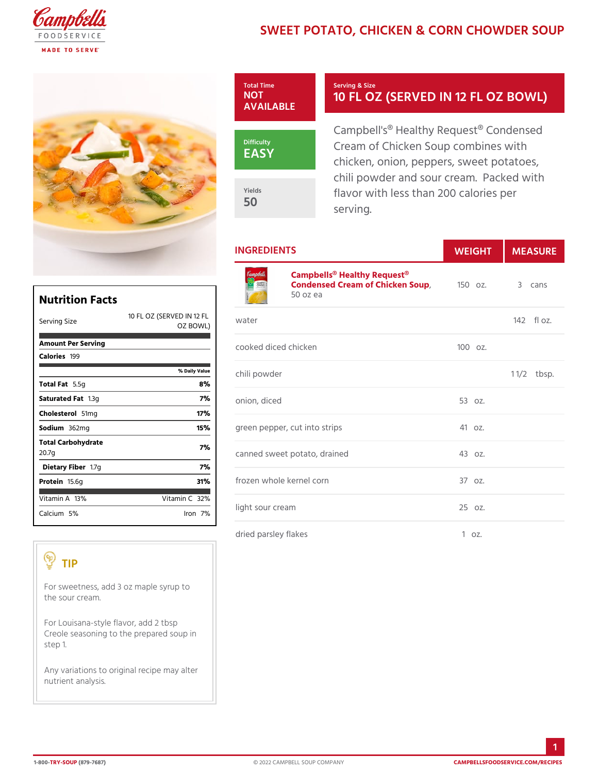## SWEET POTATO, CHICKEN & CORN



INGREDIENTS WEIGHTMEASURE

| Nutrition Facts                                |        |
|------------------------------------------------|--------|
| 10 FL OZ (SERFVLED<br>Serving Size<br>OZ BOWL) | IN 1?e |
| Amount Per Serving<br>Calorie1s99              | соок   |
| % Daily Value                                  | chili  |
| Total F5at5g<br>8%                             |        |
| 7%<br>Saturated 1F.38tg                        | onio   |
| 17%<br>Choleste 5d Img                         |        |
| 15%<br>Sodium 362mg                            | gree   |
| Total Carbohydrate<br>7%<br>20.7g              | canr   |
| 7%<br>Dietary F1ib7egr                         |        |
| 31%<br>Proteif6.6g                             | froz   |
| Vitamin1A8%<br>Vitamin3Q%                      |        |
| Calciu5m%<br>$l$ ron $7%$                      | light  |
|                                                |        |

[Campbells® Healthy R](https://www.campbellsfoodservice.com/product/cream-of-chicken-soup)equest® Condensed Cream of Chick & 50 Soup 3 cans 50 oz ea

| IN 12er                       |           | $142f$ $0z$ . |
|-------------------------------|-----------|---------------|
| cooked diced chicken          | $1000z$ . |               |
| chili powder                  |           | $1 \t1/2bsp.$ |
| onion, diced                  | 53 oz.    |               |
| green pepper, cut into strips | 41 oz.    |               |
| canned sweet potato, drained  | 43 oz.    |               |
| frozen whole kernel corn      | 370z.     |               |
| light sour cream              | 25 oz.    |               |
|                               |           |               |

dried parsley flakes 1 oz.

## TIP

For sweetness, add 3 oz maple syrup to the sour cream. For Louisana-style flavor, add 2 tbsp

Creole seasoning to the prepared soup in step 1.

Any variations to original recipe may alter nutrient analysis.